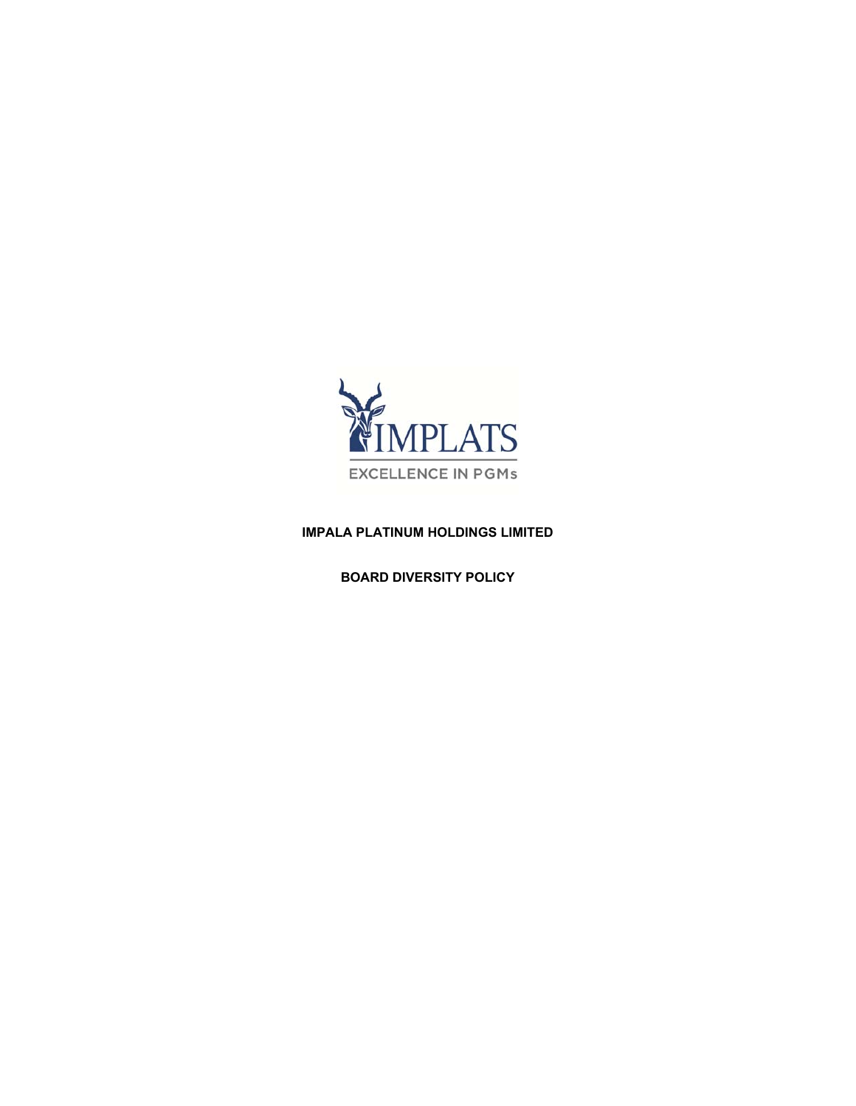

## **IMPALA PLATINUM HOLDINGS LIMITED**

**BOARD DIVERSITY POLICY**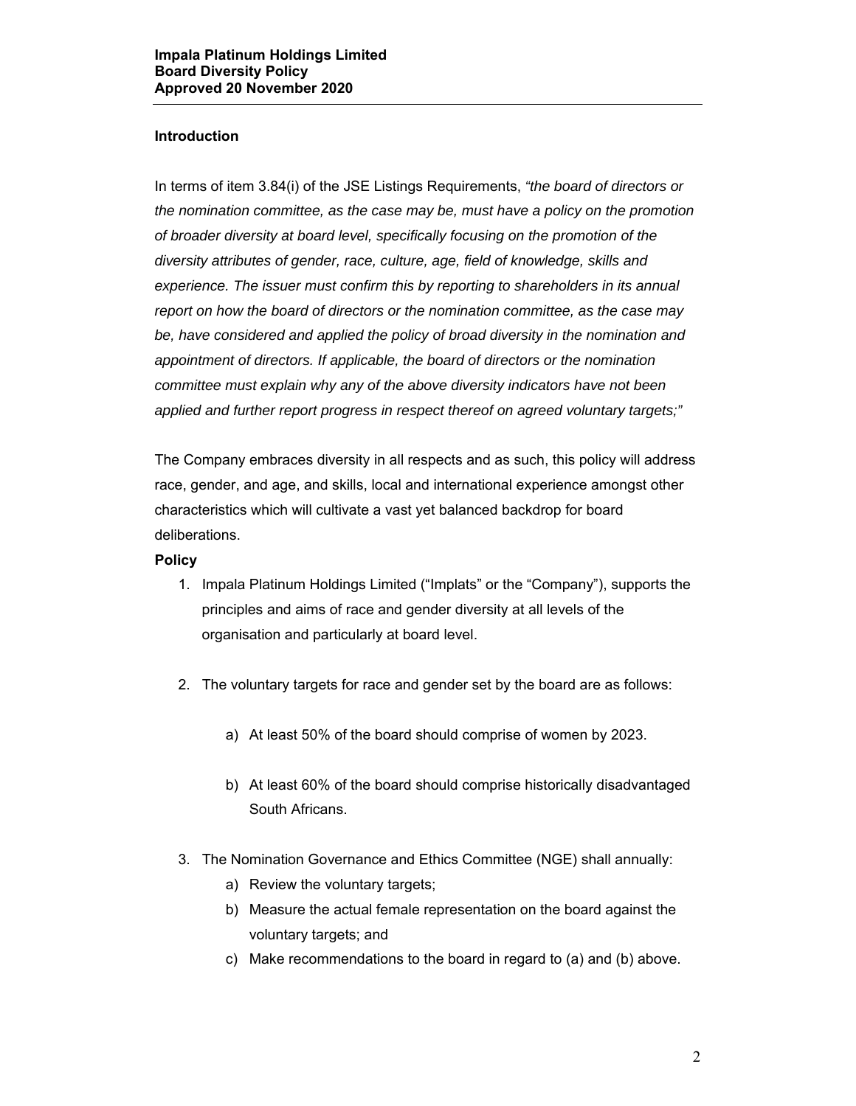## **Introduction**

In terms of item 3.84(i) of the JSE Listings Requirements, *"the board of directors or the nomination committee, as the case may be, must have a policy on the promotion of broader diversity at board level, specifically focusing on the promotion of the diversity attributes of gender, race, culture, age, field of knowledge, skills and experience. The issuer must confirm this by reporting to shareholders in its annual report on how the board of directors or the nomination committee, as the case may be, have considered and applied the policy of broad diversity in the nomination and appointment of directors. If applicable, the board of directors or the nomination committee must explain why any of the above diversity indicators have not been applied and further report progress in respect thereof on agreed voluntary targets;"* 

The Company embraces diversity in all respects and as such, this policy will address race, gender, and age, and skills, local and international experience amongst other characteristics which will cultivate a vast yet balanced backdrop for board deliberations.

## **Policy**

- 1. Impala Platinum Holdings Limited ("Implats" or the "Company"), supports the principles and aims of race and gender diversity at all levels of the organisation and particularly at board level.
- 2. The voluntary targets for race and gender set by the board are as follows:
	- a) At least 50% of the board should comprise of women by 2023.
	- b) At least 60% of the board should comprise historically disadvantaged South Africans.
- 3. The Nomination Governance and Ethics Committee (NGE) shall annually:
	- a) Review the voluntary targets;
	- b) Measure the actual female representation on the board against the voluntary targets; and
	- c) Make recommendations to the board in regard to (a) and (b) above.